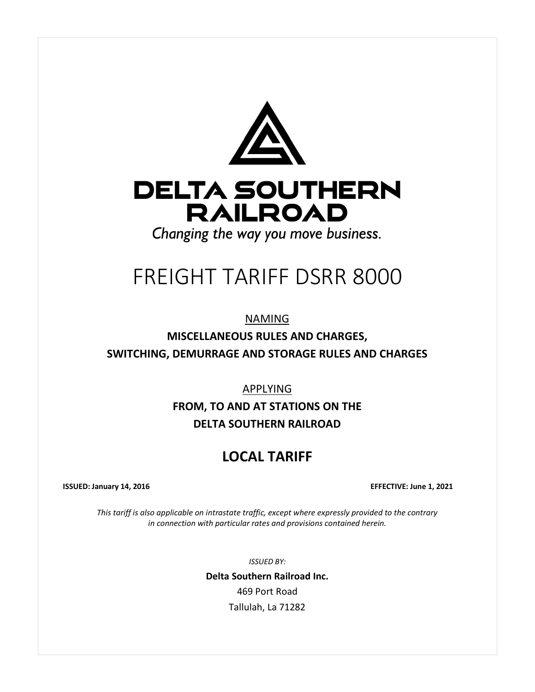

# FREIGHT TARIFF DSRR 8000

NAMING

**MISCELLANEOUS RULES AND CHARGES, SWITCHING, DEMURRAGE AND STORAGE RULES AND CHARGES**

APPLYING

**FROM, TO AND AT STATIONS ON THE DELTA SOUTHERN RAILROAD**

# **LOCAL TARIFF**

**ISSUED: January 14, 2016 EFFECTIVE: June 1, 2021**

*This tariff is also applicable on intrastate traffic, except where expressly provided to the contrary in connection with particular rates and provisions contained herein.*

*ISSUED BY:*

**Delta Southern Railroad Inc.** 469 Port Road Tallulah, La 71282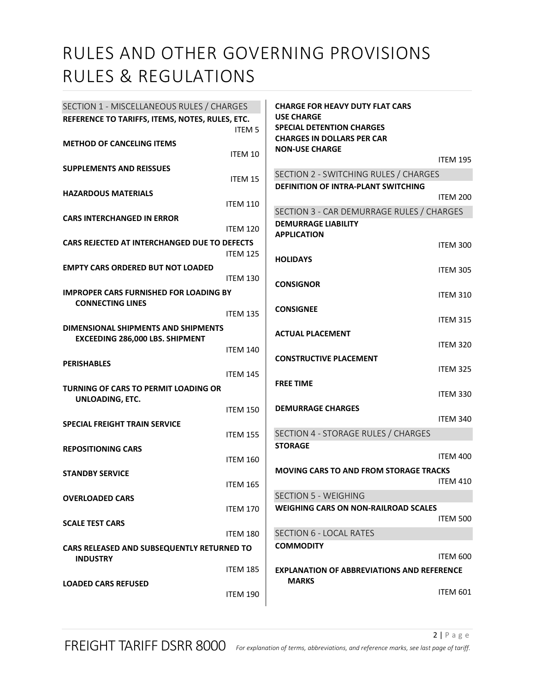| SECTION 1 - MISCELLANEOUS RULES / CHARGES                        |                 | <b>CHARGE FOR HEAVY DUTY FLAT CARS</b>                |                 |
|------------------------------------------------------------------|-----------------|-------------------------------------------------------|-----------------|
| REFERENCE TO TARIFFS, ITEMS, NOTES, RULES, ETC.<br><b>ITEM 5</b> |                 | <b>USE CHARGE</b><br><b>SPECIAL DETENTION CHARGES</b> |                 |
| <b>METHOD OF CANCELING ITEMS</b>                                 |                 | <b>CHARGES IN DOLLARS PER CAR</b>                     |                 |
|                                                                  | ITEM 10         | <b>NON-USE CHARGE</b>                                 |                 |
| <b>SUPPLEMENTS AND REISSUES</b>                                  |                 |                                                       | <b>ITEM 195</b> |
|                                                                  | ITEM 15         | SECTION 2 - SWITCHING RULES / CHARGES                 |                 |
| <b>HAZARDOUS MATERIALS</b>                                       |                 | <b>DEFINITION OF INTRA-PLANT SWITCHING</b>            |                 |
|                                                                  | <b>ITEM 110</b> |                                                       | <b>ITEM 200</b> |
| <b>CARS INTERCHANGED IN ERROR</b>                                |                 | SECTION 3 - CAR DEMURRAGE RULES / CHARGES             |                 |
|                                                                  | <b>ITEM 120</b> | <b>DEMURRAGE LIABILITY</b>                            |                 |
| CARS REJECTED AT INTERCHANGED DUE TO DEFECTS                     |                 | <b>APPLICATION</b>                                    | <b>ITEM 300</b> |
|                                                                  | <b>ITEM 125</b> | <b>HOLIDAYS</b>                                       |                 |
| <b>EMPTY CARS ORDERED BUT NOT LOADED</b>                         |                 |                                                       | <b>ITEM 305</b> |
|                                                                  | <b>ITEM 130</b> | <b>CONSIGNOR</b>                                      |                 |
| <b>IMPROPER CARS FURNISHED FOR LOADING BY</b>                    |                 |                                                       | <b>ITEM 310</b> |
| <b>CONNECTING LINES</b>                                          |                 | <b>CONSIGNEE</b>                                      |                 |
|                                                                  | <b>ITEM 135</b> |                                                       | <b>ITEM 315</b> |
| DIMENSIONAL SHIPMENTS AND SHIPMENTS                              |                 | <b>ACTUAL PLACEMENT</b>                               |                 |
| <b>EXCEEDING 286,000 LBS. SHIPMENT</b>                           | <b>ITEM 140</b> |                                                       | <b>ITEM 320</b> |
|                                                                  |                 | <b>CONSTRUCTIVE PLACEMENT</b>                         |                 |
| <b>PERISHABLES</b>                                               | <b>ITEM 145</b> |                                                       | <b>ITEM 325</b> |
| <b>TURNING OF CARS TO PERMIT LOADING OR</b>                      |                 | <b>FREE TIME</b>                                      |                 |
| UNLOADING, ETC.                                                  |                 |                                                       | <b>ITEM 330</b> |
|                                                                  | <b>ITEM 150</b> | <b>DEMURRAGE CHARGES</b>                              |                 |
| <b>SPECIAL FREIGHT TRAIN SERVICE</b>                             |                 |                                                       | <b>ITEM 340</b> |
|                                                                  | <b>ITEM 155</b> | SECTION 4 - STORAGE RULES / CHARGES                   |                 |
| <b>REPOSITIONING CARS</b>                                        |                 | <b>STORAGE</b>                                        |                 |
|                                                                  | <b>ITEM 160</b> |                                                       | <b>ITEM 400</b> |
| <b>STANDBY SERVICE</b>                                           |                 | <b>MOVING CARS TO AND FROM STORAGE TRACKS</b>         |                 |
|                                                                  | <b>ITEM 165</b> |                                                       | <b>ITEM 410</b> |
| <b>OVERLOADED CARS</b>                                           |                 | <b>SECTION 5 - WEIGHING</b>                           |                 |
|                                                                  | <b>ITEM 170</b> | <b>WEIGHING CARS ON NON-RAILROAD SCALES</b>           |                 |
| <b>SCALE TEST CARS</b>                                           |                 |                                                       | <b>ITEM 500</b> |
|                                                                  | <b>ITEM 180</b> | <b>SECTION 6 - LOCAL RATES</b>                        |                 |
| CARS RELEASED AND SUBSEQUENTLY RETURNED TO                       |                 | <b>COMMODITY</b>                                      | <b>ITEM 600</b> |
| <b>INDUSTRY</b>                                                  | <b>ITEM 185</b> | <b>EXPLANATION OF ABBREVIATIONS AND REFERENCE</b>     |                 |
|                                                                  |                 | <b>MARKS</b>                                          |                 |
| <b>LOADED CARS REFUSED</b>                                       | <b>ITEM 190</b> |                                                       | <b>ITEM 601</b> |
|                                                                  |                 |                                                       |                 |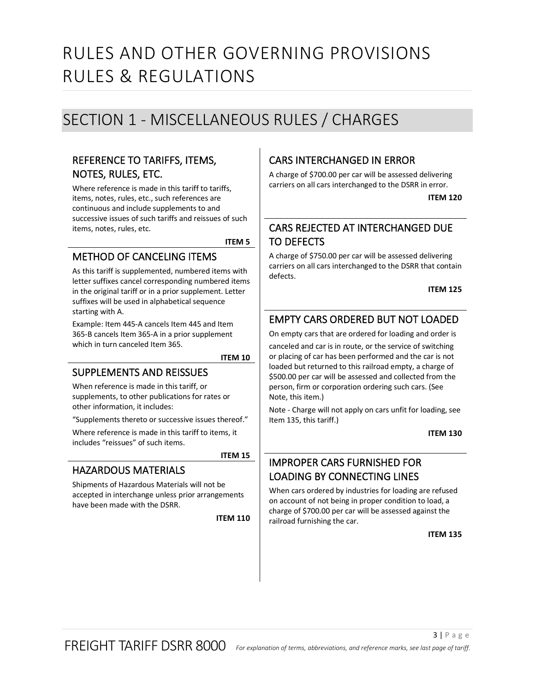# <span id="page-2-0"></span>SECTION 1 - MISCELLANEOUS RULES / CHARGES

# <span id="page-2-1"></span>REFERENCE TO TARIFFS, ITEMS, NOTES, RULES, ETC.

Where reference is made in this tariff to tariffs, items, notes, rules, etc., such references are continuous and include supplements to and successive issues of such tariffs and reissues of such items, notes, rules, etc.

**ITEM 5**

#### <span id="page-2-3"></span><span id="page-2-2"></span>METHOD OF CANCELING ITEMS

As this tariff is supplemented, numbered items with letter suffixes cancel corresponding numbered items in the original tariff or in a prior supplement. Letter suffixes will be used in alphabetical sequence starting with A.

Example: Item 445-A cancels Item 445 and Item 365-B cancels Item 365-A in a prior supplement which in turn canceled Item 365.

**ITEM 10**

#### <span id="page-2-5"></span><span id="page-2-4"></span>SUPPLEMENTS AND REISSUES

When reference is made in this tariff, or supplements, to other publications for rates or other information, it includes:

"Supplements thereto or successive issues thereof."

Where reference is made in this tariff to items, it includes "reissues" of such items.

#### **ITEM 15**

## <span id="page-2-7"></span><span id="page-2-6"></span>HAZARDOUS MATERIALS

<span id="page-2-8"></span>Shipments of Hazardous Materials will not be accepted in interchange unless prior arrangements have been made with the DSRR.

**ITEM 110**

# <span id="page-2-9"></span>CARS INTERCHANGED IN ERROR

<span id="page-2-10"></span>A charge of \$700.00 per car will be assessed delivering carriers on all cars interchanged to the DSRR in error.

**ITEM 120**

# <span id="page-2-11"></span>CARS REJECTED AT INTERCHANGED DUE TO DEFECTS

A charge of \$750.00 per car will be assessed delivering carriers on all cars interchanged to the DSRR that contain defects.

**ITEM 125**

# <span id="page-2-13"></span><span id="page-2-12"></span>EMPTY CARS ORDERED BUT NOT LOADED

On empty cars that are ordered for loading and order is

canceled and car is in route, or the service of switching or placing of car has been performed and the car is not loaded but returned to this railroad empty, a charge of \$500.00 per car will be assessed and collected from the person, firm or corporation ordering such cars. (See Note, this item.)

<span id="page-2-14"></span>Note - Charge will not apply on cars unfit for loading, see Item 135, this tariff.)

**ITEM 130**

# <span id="page-2-15"></span>IMPROPER CARS FURNISHED FOR LOADING BY CONNECTING LINES

<span id="page-2-16"></span>When cars ordered by industries for loading are refused on account of not being in proper condition to load, a charge of \$700.00 per car will be assessed against the railroad furnishing the car.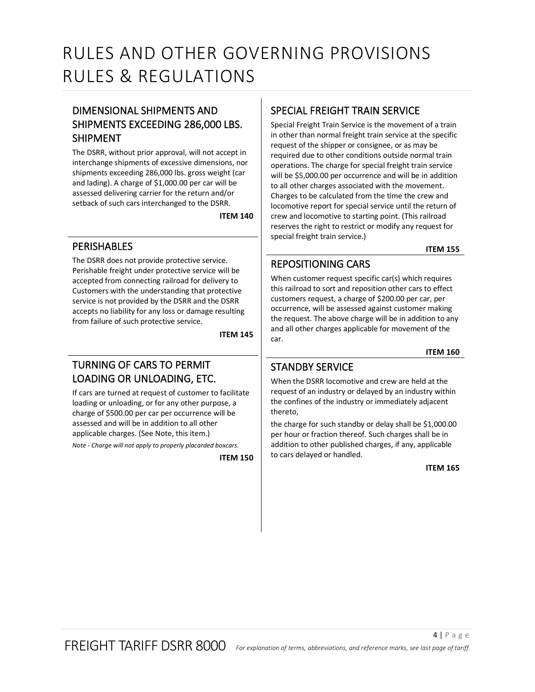# <span id="page-3-0"></span>DIMENSIONAL SHIPMENTS AND SHIPMENTS EXCEEDING 286,000 LBS. SHIPMENT

The DSRR, without prior approval, will not accept in interchange shipments of excessive dimensions, nor shipments exceeding 286,000 lbs. gross weight (car and lading). A charge of \$1,000.00 per car will be assessed delivering carrier for the return and/or setback of such cars interchanged to the DSRR.

**ITEM 140**

## <span id="page-3-2"></span><span id="page-3-1"></span>**PERISHABLES**

The DSRR does not provide protective service. Perishable freight under protective service will be accepted from connecting railroad for delivery to Customers with the understanding that protective service is not provided by the DSRR and the DSRR accepts no liability for any loss or damage resulting from failure of such protective service.

**ITEM 145**

## <span id="page-3-4"></span><span id="page-3-3"></span>TURNING OF CARS TO PERMIT LOADING OR UNLOADING, ETC.

If cars are turned at request of customer to facilitate loading or unloading, or for any other purpose, a charge of \$500.00 per car per occurrence will be assessed and will be in addition to all other applicable charges. (See Note, this item.)

<span id="page-3-5"></span>*Note - Charge will not apply to properly placarded boxcars.*

**ITEM 150**

#### <span id="page-3-6"></span>SPECIAL FREIGHT TRAIN SERVICE

Special Freight Train Service is the movement of a train in other than normal freight train service at the specific request of the shipper or consignee, or as may be required due to other conditions outside normal train operations. The charge for special freight train service will be \$5,000.00 per occurrence and will be in addition to all other charges associated with the movement. Charges to be calculated from the time the crew and locomotive report for special service until the return of crew and locomotive to starting point. (This railroad reserves the right to restrict or modify any request for special freight train service.)

**ITEM 155**

# <span id="page-3-8"></span><span id="page-3-7"></span>REPOSITIONING CARS

When customer request specific car(s) which requires this railroad to sort and reposition other cars to effect customers request, a charge of \$200.00 per car, per occurrence, will be assessed against customer making the request. The above charge will be in addition to any and all other charges applicable for movement of the car.

**ITEM 160**

## <span id="page-3-10"></span><span id="page-3-9"></span>STANDBY SERVICE

When the DSRR locomotive and crew are held at the request of an industry or delayed by an industry within the confines of the industry or immediately adjacent thereto,

<span id="page-3-11"></span>the charge for such standby or delay shall be \$1,000.00 per hour or fraction thereof. Such charges shall be in addition to other published charges, if any, applicable to cars delayed or handled.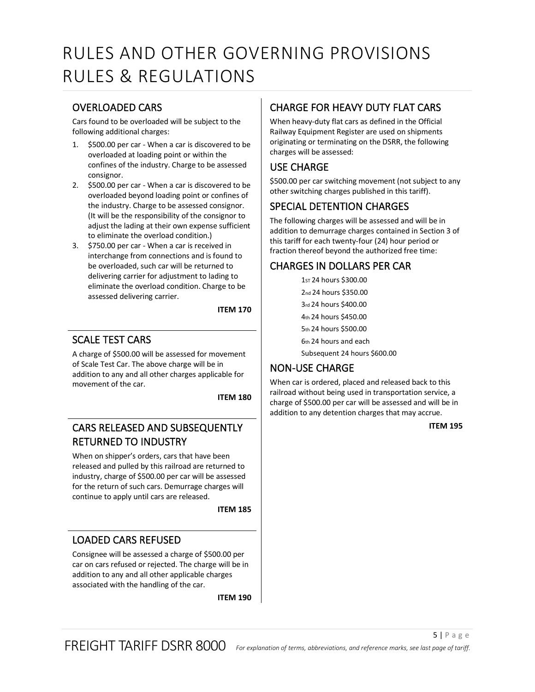## <span id="page-4-0"></span>OVERLOADED CARS

Cars found to be overloaded will be subject to the following additional charges:

- 1. \$500.00 per car When a car is discovered to be overloaded at loading point or within the confines of the industry. Charge to be assessed consignor.
- 2. \$500.00 per car When a car is discovered to be overloaded beyond loading point or confines of the industry. Charge to be assessed consignor. (It will be the responsibility of the consignor to adjust the lading at their own expense sufficient to eliminate the overload condition.)
- 3. \$750.00 per car When a car is received in interchange from connections and is found to be overloaded, such car will be returned to delivering carrier for adjustment to lading to eliminate the overload condition. Charge to be assessed delivering carrier.

**ITEM 170**

# <span id="page-4-2"></span><span id="page-4-1"></span>SCALE TEST CARS

A charge of \$500.00 will be assessed for movement of Scale Test Car. The above charge will be in addition to any and all other charges applicable for movement of the car.

**ITEM 180**

## <span id="page-4-4"></span><span id="page-4-3"></span>CARS RELEASED AND SUBSEQUENTLY RETURNED TO INDUSTRY

When on shipper's orders, cars that have been released and pulled by this railroad are returned to industry, charge of \$500.00 per car will be assessed for the return of such cars. Demurrage charges will continue to apply until cars are released.

**ITEM 185**

## <span id="page-4-6"></span><span id="page-4-5"></span>LOADED CARS REFUSED

<span id="page-4-7"></span>Consignee will be assessed a charge of \$500.00 per car on cars refused or rejected. The charge will be in addition to any and all other applicable charges associated with the handling of the car.

**ITEM 190**

# <span id="page-4-8"></span>CHARGE FOR HEAVY DUTY FLAT CARS

When heavy-duty flat cars as defined in the Official Railway Equipment Register are used on shipments originating or terminating on the DSRR, the following charges will be assessed:

# <span id="page-4-9"></span>USE CHARGE

\$500.00 per car switching movement (not subject to any other switching charges published in this tariff).

# <span id="page-4-10"></span>SPECIAL DETENTION CHARGES

The following charges will be assessed and will be in addition to demurrage charges contained in Section 3 of this tariff for each twenty-four (24) hour period or fraction thereof beyond the authorized free time:

#### <span id="page-4-11"></span>CHARGES IN DOLLARS PER CAR

| 1 <sub>ST</sub> 24 hours \$300.00 |
|-----------------------------------|
| 2nd 24 hours \$350.00             |
| 3rd 24 hours \$400.00             |
| 4th 24 hours \$450.00             |
| 5th 24 hours \$500.00             |
| 6th 24 hours and each             |
| Subsequent 24 hours \$600.00      |

## <span id="page-4-12"></span>NON-USE CHARGE

<span id="page-4-13"></span>When car is ordered, placed and released back to this railroad without being used in transportation service, a charge of \$500.00 per car will be assessed and will be in addition to any detention charges that may accrue.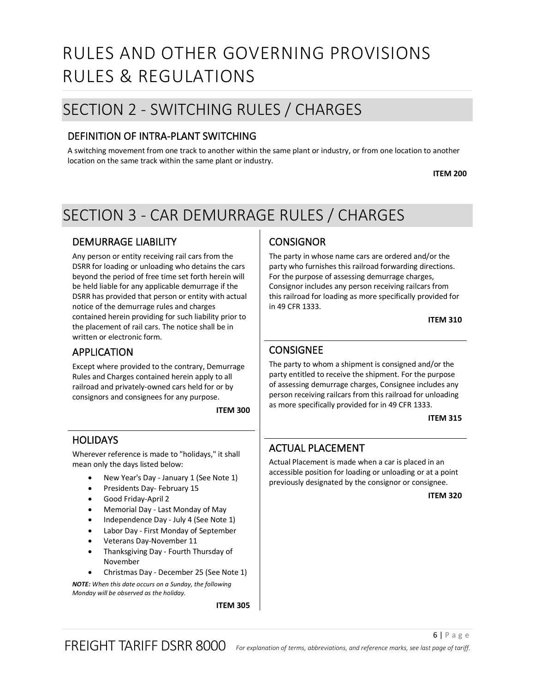# <span id="page-5-0"></span>SECTION 2 - SWITCHING RULES / CHARGES

# <span id="page-5-1"></span>DEFINITION OF INTRA-PLANT SWITCHING

<span id="page-5-2"></span>A switching movement from one track to another within the same plant or industry, or from one location to another location on the same track within the same plant or industry.

**ITEM 200**

# <span id="page-5-3"></span>SECTION 3 - CAR DEMURRAGE RULES / CHARGES

## <span id="page-5-4"></span>DEMURRAGE LIABILITY

Any person or entity receiving rail cars from the DSRR for loading or unloading who detains the cars beyond the period of free time set forth herein will be held liable for any applicable demurrage if the DSRR has provided that person or entity with actual notice of the demurrage rules and charges contained herein providing for such liability prior to the placement of rail cars. The notice shall be in written or electronic form.

#### <span id="page-5-5"></span>APPLICATION

Except where provided to the contrary, Demurrage Rules and Charges contained herein apply to all railroad and privately-owned cars held for or by consignors and consignees for any purpose.

**ITEM 300**

#### <span id="page-5-7"></span><span id="page-5-6"></span>HOLIDAYS

Wherever reference is made to "holidays," it shall mean only the days listed below:

- New Year's Day January 1 (See Note 1)
- Presidents Day- February 15
- Good Friday-April 2
- Memorial Day Last Monday of May
- Independence Day July 4 (See Note 1)
- Labor Day First Monday of September
- Veterans Day-November 11
- Thanksgiving Day Fourth Thursday of November
- Christmas Day December 25 (See Note 1)

<span id="page-5-8"></span>*NOTE: When this date occurs on a Sunday, the following Monday will be observed as the holiday.*

**ITEM 305**

# <span id="page-5-9"></span>**CONSIGNOR**

The party in whose name cars are ordered and/or the party who furnishes this railroad forwarding directions. For the purpose of assessing demurrage charges, Consignor includes any person receiving railcars from this railroad for loading as more specifically provided for in 49 CFR 1333.

**ITEM 310**

# <span id="page-5-11"></span><span id="page-5-10"></span>CONSIGNEE

The party to whom a shipment is consigned and/or the party entitled to receive the shipment. For the purpose of assessing demurrage charges, Consignee includes any person receiving railcars from this railroad for unloading as more specifically provided for in 49 CFR 1333.

**ITEM 315**

## <span id="page-5-13"></span><span id="page-5-12"></span>ACTUAL PLACEMENT

<span id="page-5-14"></span>Actual Placement is made when a car is placed in an accessible position for loading or unloading or at a point previously designated by the consignor or consignee.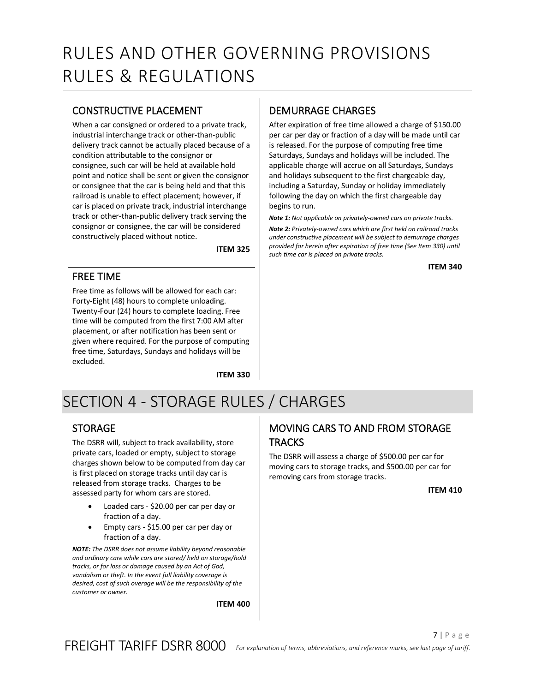### <span id="page-6-0"></span>CONSTRUCTIVE PLACEMENT

When a car consigned or ordered to a private track, industrial interchange track or other-than-public delivery track cannot be actually placed because of a condition attributable to the consignor or consignee, such car will be held at available hold point and notice shall be sent or given the consignor or consignee that the car is being held and that this railroad is unable to effect placement; however, if car is placed on private track, industrial interchange track or other-than-public delivery track serving the consignor or consignee, the car will be considered constructively placed without notice.

**ITEM 325**

#### <span id="page-6-2"></span><span id="page-6-1"></span>FREE TIME

Free time as follows will be allowed for each car: Forty-Eight (48) hours to complete unloading. Twenty-Four (24) hours to complete loading. Free time will be computed from the first 7:00 AM after placement, or after notification has been sent or given where required. For the purpose of computing free time, Saturdays, Sundays and holidays will be excluded.

**ITEM 330**

# <span id="page-6-4"></span>DEMURRAGE CHARGES

After expiration of free time allowed a charge of \$150.00 per car per day or fraction of a day will be made until car is released. For the purpose of computing free time Saturdays, Sundays and holidays will be included. The applicable charge will accrue on all Saturdays, Sundays and holidays subsequent to the first chargeable day, including a Saturday, Sunday or holiday immediately following the day on which the first chargeable day begins to run.

*Note 1: Not applicable on privately-owned cars on private tracks.*

<span id="page-6-5"></span>*Note 2: Privately-owned cars which are first held on railroad tracks under constructive placement will be subject to demurrage charges provided for herein after expiration of free time (See Item 330) until such time car is placed on private tracks.*

**ITEM 340**

# <span id="page-6-6"></span><span id="page-6-3"></span>SECTION 4 - STORAGE RULES / CHARGES

#### <span id="page-6-7"></span>STORAGE

The DSRR will, subject to track availability, store private cars, loaded or empty, subject to storage charges shown below to be computed from day car is first placed on storage tracks until day car is released from storage tracks. Charges to be assessed party for whom cars are stored.

- Loaded cars \$20.00 per car per day or fraction of a day.
- Empty cars \$15.00 per car per day or fraction of a day.

<span id="page-6-8"></span>*NOTE: The DSRR does not assume liability beyond reasonable and ordinary care while cars are stored/ held on storage/hold tracks, or for loss or damage caused by an Act of God, vandalism or theft. In the event full liability coverage is desired, cost of such overage will be the responsibility of the customer or owner.*

**ITEM 400**

# <span id="page-6-9"></span>MOVING CARS TO AND FROM STORAGE **TRACKS**

<span id="page-6-10"></span>The DSRR will assess a charge of \$500.00 per car for moving cars to storage tracks, and \$500.00 per car for removing cars from storage tracks.